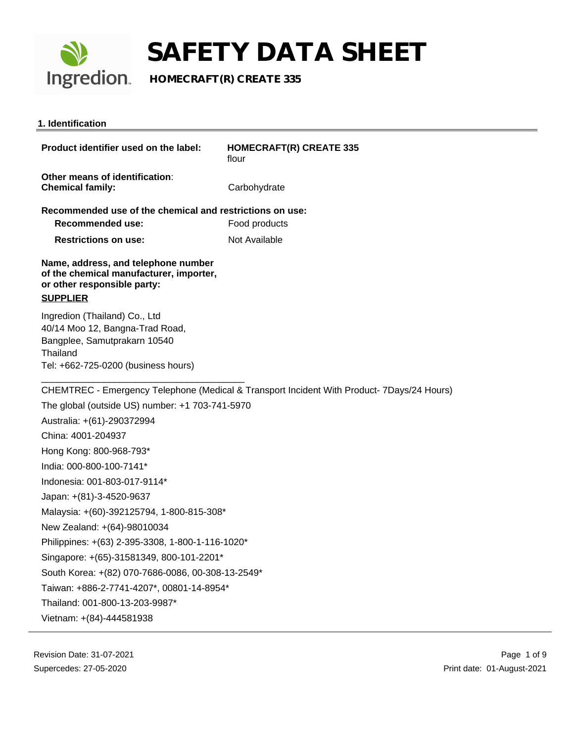

**Ingredion.** HOMECRAFT(R) CREATE 335

### **1. Identification**

| Product identifier used on the label:                                                                                                               | <b>HOMECRAFT(R) CREATE 335</b><br>flour                                                    |
|-----------------------------------------------------------------------------------------------------------------------------------------------------|--------------------------------------------------------------------------------------------|
| Other means of identification:<br><b>Chemical family:</b>                                                                                           | Carbohydrate                                                                               |
| Recommended use of the chemical and restrictions on use:<br><b>Recommended use:</b>                                                                 | Food products                                                                              |
| <b>Restrictions on use:</b>                                                                                                                         | Not Available                                                                              |
| Name, address, and telephone number<br>of the chemical manufacturer, importer,<br>or other responsible party:<br><b>SUPPLIER</b>                    |                                                                                            |
| Ingredion (Thailand) Co., Ltd<br>40/14 Moo 12, Bangna-Trad Road,<br>Bangplee, Samutprakarn 10540<br>Thailand<br>Tel: +662-725-0200 (business hours) |                                                                                            |
|                                                                                                                                                     | CHEMTREC - Emergency Telephone (Medical & Transport Incident With Product- 7Days/24 Hours) |
| The global (outside US) number: +1 703-741-5970                                                                                                     |                                                                                            |
| Australia: +(61)-290372994                                                                                                                          |                                                                                            |
| China: 4001-204937                                                                                                                                  |                                                                                            |
| Hong Kong: 800-968-793*                                                                                                                             |                                                                                            |
| India: 000-800-100-7141*                                                                                                                            |                                                                                            |
| Indonesia: 001-803-017-9114*                                                                                                                        |                                                                                            |
| Japan: +(81)-3-4520-9637                                                                                                                            |                                                                                            |
| Malaysia: +(60)-392125794, 1-800-815-308*                                                                                                           |                                                                                            |
| New Zealand: +(64)-98010034                                                                                                                         |                                                                                            |
| Philippines: +(63) 2-395-3308, 1-800-1-116-1020*                                                                                                    |                                                                                            |
| Singapore: +(65)-31581349, 800-101-2201*                                                                                                            |                                                                                            |
| South Korea: +(82) 070-7686-0086, 00-308-13-2549*                                                                                                   |                                                                                            |
| Taiwan: +886-2-7741-4207*, 00801-14-8954*                                                                                                           |                                                                                            |
| Thailand: 001-800-13-203-9987*                                                                                                                      |                                                                                            |
| Vietnam: +(84)-444581938                                                                                                                            |                                                                                            |
|                                                                                                                                                     |                                                                                            |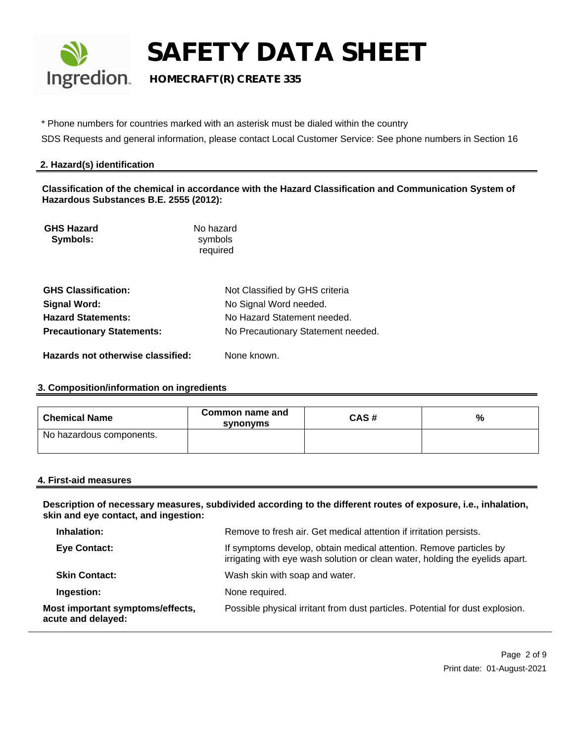

### **Ingredion**. **HOMECRAFT(R) CREATE 335**

\* Phone numbers for countries marked with an asterisk must be dialed within the country

SDS Requests and general information, please contact Local Customer Service: See phone numbers in Section 16

### **2. Hazard(s) identification**

**Classification of the chemical in accordance with the Hazard Classification and Communication System of Hazardous Substances B.E. 2555 (2012):**

| <b>GHS Hazard</b> | No hazard |
|-------------------|-----------|
| Symbols:          | symbols   |
|                   | required  |
|                   |           |

| <b>GHS Classification:</b>        | Not Classified by GHS criteria     |
|-----------------------------------|------------------------------------|
| Signal Word:                      | No Signal Word needed.             |
| <b>Hazard Statements:</b>         | No Hazard Statement needed.        |
| <b>Precautionary Statements:</b>  | No Precautionary Statement needed. |
| Hazards not otherwise classified: | None known.                        |

#### **3. Composition/information on ingredients**

| <b>Chemical Name</b>     | Common name and<br>synonyms | CAS# | % |
|--------------------------|-----------------------------|------|---|
| No hazardous components. |                             |      |   |

#### **4. First-aid measures**

**Description of necessary measures, subdivided according to the different routes of exposure, i.e., inhalation, skin and eye contact, and ingestion:** 

| Inhalation:                                            | Remove to fresh air. Get medical attention if irritation persists.                                                                                 |
|--------------------------------------------------------|----------------------------------------------------------------------------------------------------------------------------------------------------|
| Eye Contact:                                           | If symptoms develop, obtain medical attention. Remove particles by<br>irrigating with eye wash solution or clean water, holding the eyelids apart. |
| <b>Skin Contact:</b>                                   | Wash skin with soap and water.                                                                                                                     |
| Ingestion:                                             | None required.                                                                                                                                     |
| Most important symptoms/effects,<br>acute and delayed: | Possible physical irritant from dust particles. Potential for dust explosion.                                                                      |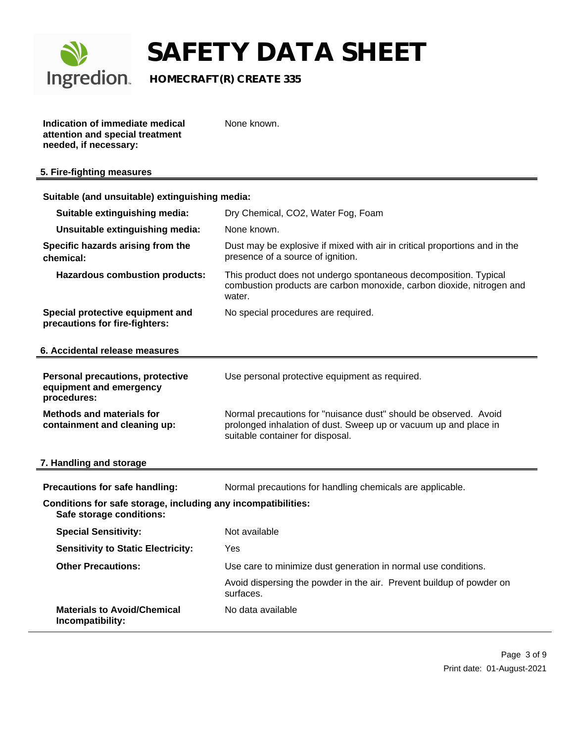

### **Ingredion** HOMECRAFT(R) CREATE 335

| Indication of immediate medical | No |
|---------------------------------|----|
| attention and special treatment |    |
| needed, if necessary:           |    |

one known.

### **5. Fire-fighting measures**

### **Suitable (and unsuitable) extinguishing media:**

| Suitable extinguishing media:                                                             | Dry Chemical, CO2, Water Fog, Foam                                                                                                                                       |
|-------------------------------------------------------------------------------------------|--------------------------------------------------------------------------------------------------------------------------------------------------------------------------|
| Unsuitable extinguishing media:                                                           | None known.                                                                                                                                                              |
| Specific hazards arising from the<br>chemical:                                            | Dust may be explosive if mixed with air in critical proportions and in the<br>presence of a source of ignition.                                                          |
| <b>Hazardous combustion products:</b>                                                     | This product does not undergo spontaneous decomposition. Typical<br>combustion products are carbon monoxide, carbon dioxide, nitrogen and<br>water.                      |
| Special protective equipment and<br>precautions for fire-fighters:                        | No special procedures are required.                                                                                                                                      |
| 6. Accidental release measures                                                            |                                                                                                                                                                          |
| <b>Personal precautions, protective</b><br>equipment and emergency<br>procedures:         | Use personal protective equipment as required.                                                                                                                           |
| <b>Methods and materials for</b><br>containment and cleaning up:                          | Normal precautions for "nuisance dust" should be observed. Avoid<br>prolonged inhalation of dust. Sweep up or vacuum up and place in<br>suitable container for disposal. |
| 7. Handling and storage                                                                   |                                                                                                                                                                          |
| Precautions for safe handling:                                                            | Normal precautions for handling chemicals are applicable.                                                                                                                |
| Conditions for safe storage, including any incompatibilities:<br>Safe storage conditions: |                                                                                                                                                                          |
| <b>Special Sensitivity:</b>                                                               | Not available                                                                                                                                                            |
| <b>Sensitivity to Static Electricity:</b>                                                 | Yes                                                                                                                                                                      |
| <b>Other Precautions:</b>                                                                 | Use care to minimize dust generation in normal use conditions.                                                                                                           |
|                                                                                           | Avoid dispersing the powder in the air. Prevent buildup of powder on<br>surfaces.                                                                                        |
| <b>Materials to Avoid/Chemical</b><br>Incompatibility:                                    | No data available                                                                                                                                                        |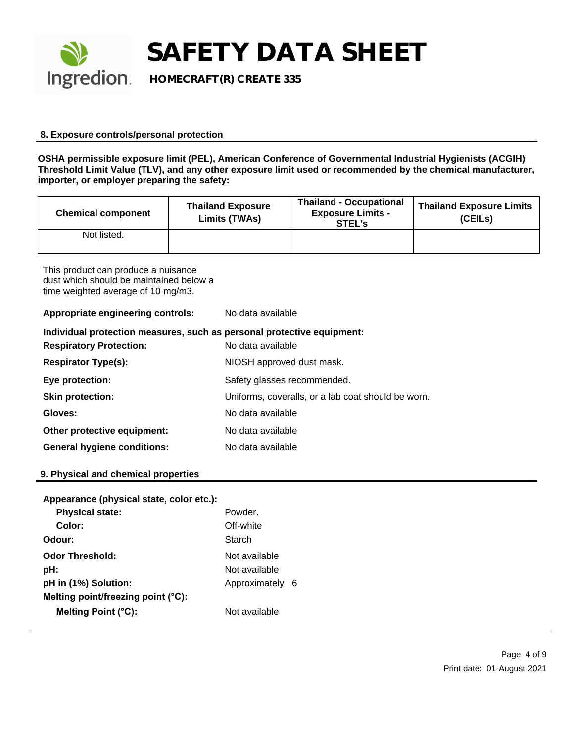

**Ingredion HOMECRAFT(R) CREATE 335** 

### **8. Exposure controls/personal protection**

**OSHA permissible exposure limit (PEL), American Conference of Governmental Industrial Hygienists (ACGIH) Threshold Limit Value (TLV), and any other exposure limit used or recommended by the chemical manufacturer, importer, or employer preparing the safety:**

| <b>Chemical component</b> | <b>Thailand Exposure</b><br>Limits (TWAs) | <b>Thailand - Occupational</b><br><b>Exposure Limits -</b><br>STEL's | <b>Thailand Exposure Limits</b><br>(CEILs) |
|---------------------------|-------------------------------------------|----------------------------------------------------------------------|--------------------------------------------|
| Not listed.               |                                           |                                                                      |                                            |

This product can produce a nuisance dust which should be maintained below a time weighted average of 10 mg/m3.

**Appropriate engineering controls:** No data available

| Individual protection measures, such as personal protective equipment: |                                                    |  |
|------------------------------------------------------------------------|----------------------------------------------------|--|
| <b>Respiratory Protection:</b>                                         | No data available                                  |  |
| <b>Respirator Type(s):</b>                                             | NIOSH approved dust mask.                          |  |
| Eye protection:                                                        | Safety glasses recommended.                        |  |
| <b>Skin protection:</b>                                                | Uniforms, coveralls, or a lab coat should be worn. |  |
| Gloves:                                                                | No data available                                  |  |
| Other protective equipment:                                            | No data available                                  |  |
| <b>General hygiene conditions:</b>                                     | No data available                                  |  |

#### **9. Physical and chemical properties**

| Appearance (physical state, color etc.): |                 |  |
|------------------------------------------|-----------------|--|
| <b>Physical state:</b>                   | Powder.         |  |
| Color:                                   | Off-white       |  |
| Odour:                                   | Starch          |  |
| <b>Odor Threshold:</b>                   | Not available   |  |
| pH:                                      | Not available   |  |
| pH in (1%) Solution:                     | Approximately 6 |  |
| Melting point/freezing point (°C):       |                 |  |
| Melting Point (°C):                      | Not available   |  |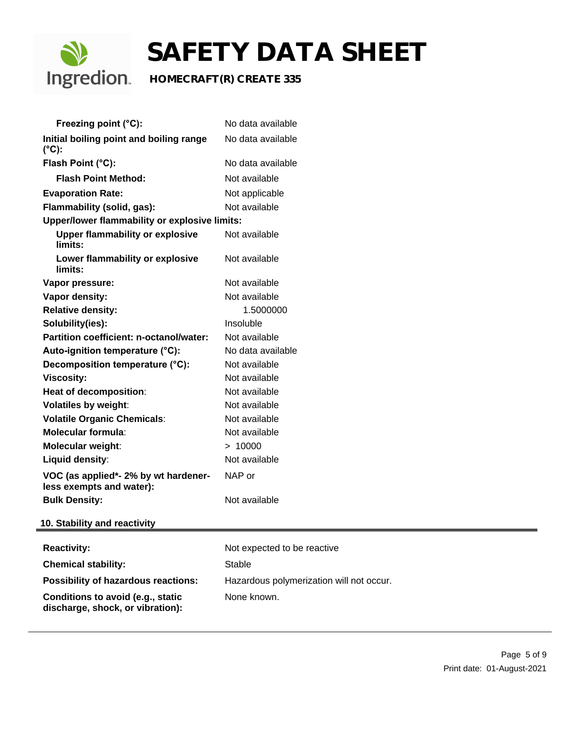

**discharge, shock, or vibration):**

# **SAFETY DATA SHEET**

## **Ingredion** HOMECRAFT(R) CREATE 335

| Freezing point (°C):                                             | No data available                        |
|------------------------------------------------------------------|------------------------------------------|
| Initial boiling point and boiling range<br>$(^{\circ}C)$ :       | No data available                        |
| Flash Point (°C):                                                | No data available                        |
| <b>Flash Point Method:</b>                                       | Not available                            |
| <b>Evaporation Rate:</b>                                         | Not applicable                           |
| Flammability (solid, gas):                                       | Not available                            |
| Upper/lower flammability or explosive limits:                    |                                          |
| <b>Upper flammability or explosive</b><br>limits:                | Not available                            |
| Lower flammability or explosive<br>limits:                       | Not available                            |
| Vapor pressure:                                                  | Not available                            |
| Vapor density:                                                   | Not available                            |
| <b>Relative density:</b>                                         | 1.5000000                                |
| Solubility(ies):                                                 | Insoluble                                |
| Partition coefficient: n-octanol/water:                          | Not available                            |
| Auto-ignition temperature (°C):                                  | No data available                        |
| Decomposition temperature (°C):                                  | Not available                            |
| <b>Viscosity:</b>                                                | Not available                            |
| Heat of decomposition:                                           | Not available                            |
| <b>Volatiles by weight:</b>                                      | Not available                            |
| <b>Volatile Organic Chemicals:</b>                               | Not available                            |
| <b>Molecular formula:</b>                                        | Not available                            |
| Molecular weight:                                                | > 10000                                  |
| Liquid density:                                                  | Not available                            |
| VOC (as applied*- 2% by wt hardener-<br>less exempts and water): | NAP or                                   |
| <b>Bulk Density:</b>                                             | Not available                            |
| 10. Stability and reactivity                                     |                                          |
|                                                                  |                                          |
| <b>Reactivity:</b>                                               | Not expected to be reactive              |
| <b>Chemical stability:</b>                                       | <b>Stable</b>                            |
| <b>Possibility of hazardous reactions:</b>                       | Hazardous polymerization will not occur. |
| Conditions to avoid (e.g., static                                | None known.                              |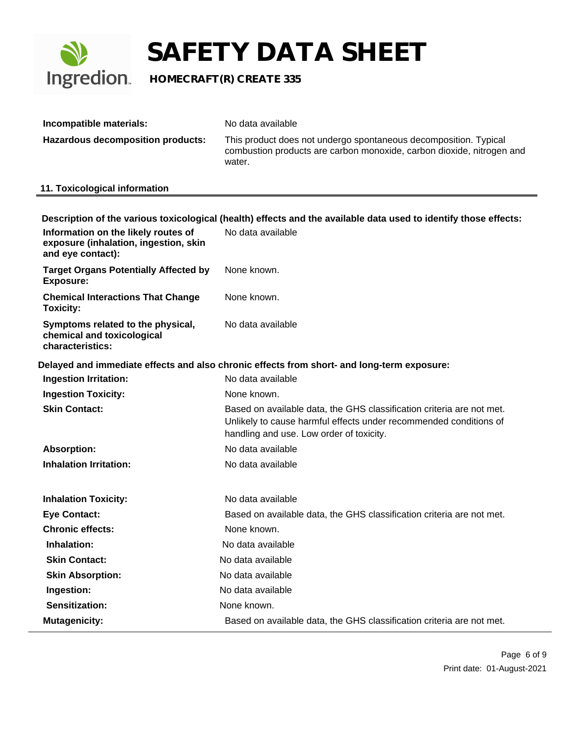

## **Ingredion** HOMECRAFT(R) CREATE 335

| Incompatible materials:           | No data available                                                                                                                                   |
|-----------------------------------|-----------------------------------------------------------------------------------------------------------------------------------------------------|
| Hazardous decomposition products: | This product does not undergo spontaneous decomposition. Typical<br>combustion products are carbon monoxide, carbon dioxide, nitrogen and<br>water. |

### **11. Toxicological information**

| Description of the various toxicological (health) effects and the available data used to identify those effects: |                                                                                                                                                                                        |  |  |
|------------------------------------------------------------------------------------------------------------------|----------------------------------------------------------------------------------------------------------------------------------------------------------------------------------------|--|--|
| Information on the likely routes of<br>exposure (inhalation, ingestion, skin<br>and eye contact):                | No data available                                                                                                                                                                      |  |  |
| <b>Target Organs Potentially Affected by</b><br><b>Exposure:</b>                                                 | None known.                                                                                                                                                                            |  |  |
| <b>Chemical Interactions That Change</b><br><b>Toxicity:</b>                                                     | None known.                                                                                                                                                                            |  |  |
| Symptoms related to the physical,<br>chemical and toxicological<br>characteristics:                              | No data available                                                                                                                                                                      |  |  |
|                                                                                                                  | Delayed and immediate effects and also chronic effects from short- and long-term exposure:                                                                                             |  |  |
| <b>Ingestion Irritation:</b>                                                                                     | No data available                                                                                                                                                                      |  |  |
| <b>Ingestion Toxicity:</b>                                                                                       | None known.                                                                                                                                                                            |  |  |
| <b>Skin Contact:</b>                                                                                             | Based on available data, the GHS classification criteria are not met.<br>Unlikely to cause harmful effects under recommended conditions of<br>handling and use. Low order of toxicity. |  |  |
| <b>Absorption:</b>                                                                                               | No data available                                                                                                                                                                      |  |  |
| <b>Inhalation Irritation:</b>                                                                                    | No data available                                                                                                                                                                      |  |  |
| <b>Inhalation Toxicity:</b>                                                                                      | No data available                                                                                                                                                                      |  |  |
| <b>Eye Contact:</b>                                                                                              | Based on available data, the GHS classification criteria are not met.                                                                                                                  |  |  |
| <b>Chronic effects:</b>                                                                                          | None known.                                                                                                                                                                            |  |  |
| Inhalation:                                                                                                      | No data available                                                                                                                                                                      |  |  |
| <b>Skin Contact:</b>                                                                                             | No data available                                                                                                                                                                      |  |  |
| <b>Skin Absorption:</b>                                                                                          | No data available                                                                                                                                                                      |  |  |
| Ingestion:                                                                                                       | No data available                                                                                                                                                                      |  |  |
| <b>Sensitization:</b>                                                                                            | None known.                                                                                                                                                                            |  |  |
| <b>Mutagenicity:</b>                                                                                             | Based on available data, the GHS classification criteria are not met.                                                                                                                  |  |  |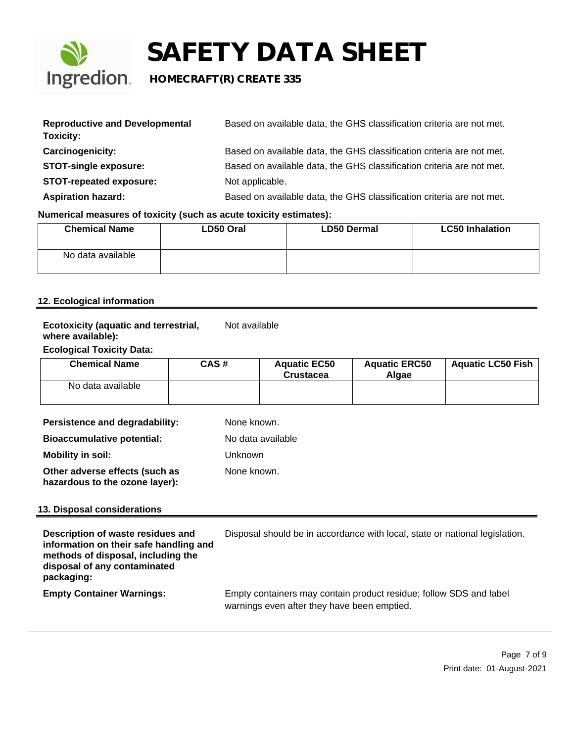

### **Ingredion** HOMECRAFT(R) CREATE 335

| <b>Reproductive and Developmental</b><br><b>Toxicity:</b> | Based on available data, the GHS classification criteria are not met. |
|-----------------------------------------------------------|-----------------------------------------------------------------------|
| Carcinogenicity:                                          | Based on available data, the GHS classification criteria are not met. |
| <b>STOT-single exposure:</b>                              | Based on available data, the GHS classification criteria are not met. |
| <b>STOT-repeated exposure:</b>                            | Not applicable.                                                       |
| <b>Aspiration hazard:</b>                                 | Based on available data, the GHS classification criteria are not met. |

### **Numerical measures of toxicity (such as acute toxicity estimates):**

| <b>Chemical Name</b> | LD50 Oral | <b>LD50 Dermal</b> | <b>LC50 Inhalation</b> |
|----------------------|-----------|--------------------|------------------------|
| No data available    |           |                    |                        |

### **12. Ecological information**

#### **Ecotoxicity (aquatic and terrestrial, where available):** Not available

### **Ecological Toxicity Data:**

| <b>Chemical Name</b> | CAS# | <b>Aguatic EC50</b><br><b>Crustacea</b> | <b>Aquatic ERC50</b><br>Alaae | <b>Aquatic LC50 Fish</b> |
|----------------------|------|-----------------------------------------|-------------------------------|--------------------------|
| No data available    |      |                                         |                               |                          |

| Persistence and degradability:                                   | None known.       |
|------------------------------------------------------------------|-------------------|
| <b>Bioaccumulative potential:</b>                                | No data available |
| <b>Mobility in soil:</b>                                         | Unknown           |
| Other adverse effects (such as<br>hazardous to the ozone layer): | None known.       |

### **13. Disposal considerations**

| Description of waste residues and<br>information on their safe handling and<br>methods of disposal, including the<br>disposal of any contaminated<br>packaging: | Disposal should be in accordance with local, state or national legislation.                                       |
|-----------------------------------------------------------------------------------------------------------------------------------------------------------------|-------------------------------------------------------------------------------------------------------------------|
| <b>Empty Container Warnings:</b>                                                                                                                                | Empty containers may contain product residue; follow SDS and label<br>warnings even after they have been emptied. |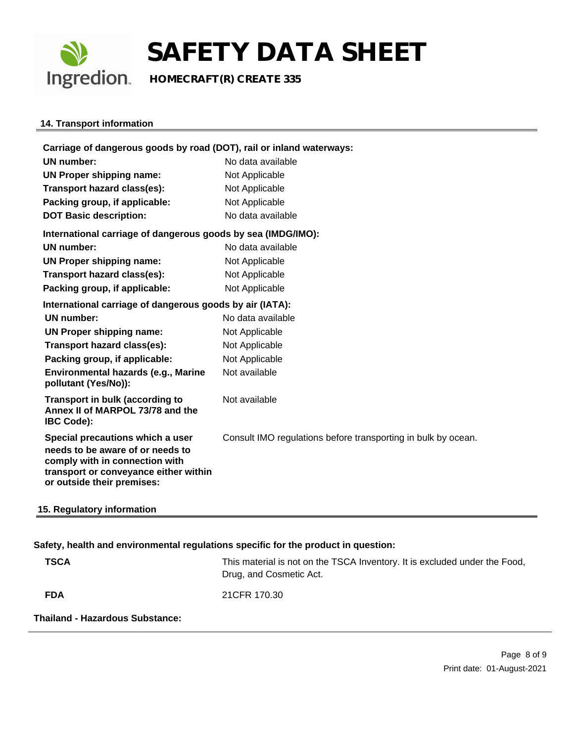

**Ingredion** HOMECRAFT(R) CREATE 335

### **14. Transport information**

| Carriage of dangerous goods by road (DOT), rail or inland waterways:                                                                                                          |                                                               |  |
|-------------------------------------------------------------------------------------------------------------------------------------------------------------------------------|---------------------------------------------------------------|--|
| <b>UN number:</b>                                                                                                                                                             | No data available                                             |  |
| <b>UN Proper shipping name:</b>                                                                                                                                               | Not Applicable                                                |  |
| Transport hazard class(es):                                                                                                                                                   | Not Applicable                                                |  |
| Packing group, if applicable:                                                                                                                                                 | Not Applicable                                                |  |
| <b>DOT Basic description:</b>                                                                                                                                                 | No data available                                             |  |
| International carriage of dangerous goods by sea (IMDG/IMO):                                                                                                                  |                                                               |  |
| <b>UN number:</b>                                                                                                                                                             | No data available                                             |  |
| UN Proper shipping name:                                                                                                                                                      | Not Applicable                                                |  |
| Transport hazard class(es):                                                                                                                                                   | Not Applicable                                                |  |
| Packing group, if applicable:                                                                                                                                                 | Not Applicable                                                |  |
| International carriage of dangerous goods by air (IATA):                                                                                                                      |                                                               |  |
| <b>UN number:</b>                                                                                                                                                             | No data available                                             |  |
| UN Proper shipping name:                                                                                                                                                      | Not Applicable                                                |  |
| Transport hazard class(es):                                                                                                                                                   | Not Applicable                                                |  |
| Packing group, if applicable:                                                                                                                                                 | Not Applicable                                                |  |
| Environmental hazards (e.g., Marine<br>pollutant (Yes/No)):                                                                                                                   | Not available                                                 |  |
| Transport in bulk (according to<br>Annex II of MARPOL 73/78 and the<br><b>IBC Code):</b>                                                                                      | Not available                                                 |  |
| Special precautions which a user<br>needs to be aware of or needs to<br>comply with in connection with<br>transport or conveyance either within<br>or outside their premises: | Consult IMO regulations before transporting in bulk by ocean. |  |
| 15. Regulatory information                                                                                                                                                    |                                                               |  |

### **Safety, health and environmental regulations specific for the product in question:**

| <b>TSCA</b>                     | This material is not on the TSCA Inventory. It is excluded under the Food,<br>Drug, and Cosmetic Act. |
|---------------------------------|-------------------------------------------------------------------------------------------------------|
| <b>FDA</b>                      | 21 CFR 170.30                                                                                         |
| Thailand - Hazardous Substance: |                                                                                                       |